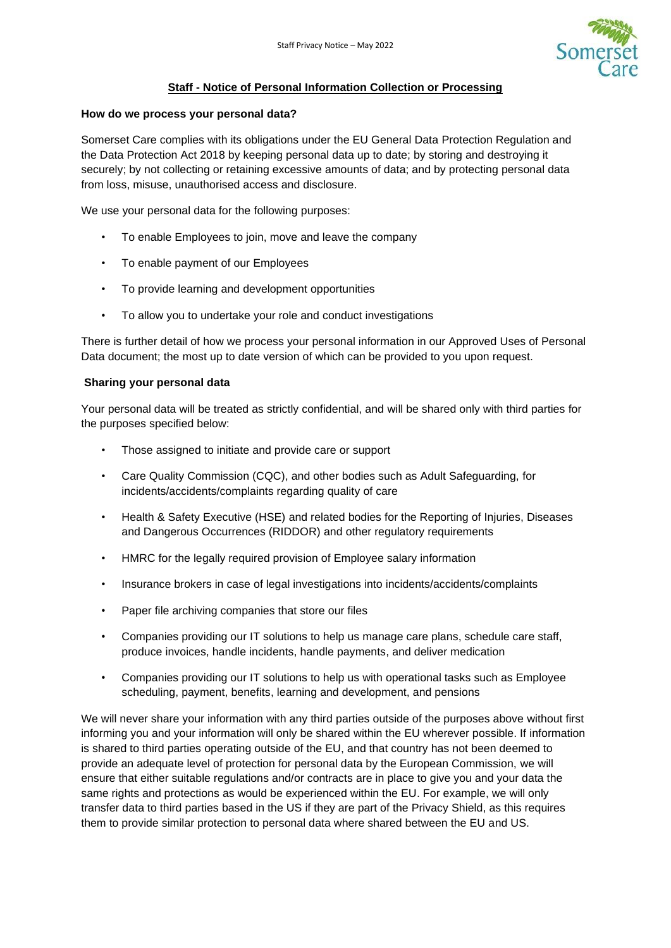

# **Staff - Notice of Personal Information Collection or Processing**

#### **How do we process your personal data?**

Somerset Care complies with its obligations under the EU General Data Protection Regulation and the Data Protection Act 2018 by keeping personal data up to date; by storing and destroying it securely; by not collecting or retaining excessive amounts of data; and by protecting personal data from loss, misuse, unauthorised access and disclosure.

We use your personal data for the following purposes:

- To enable Employees to join, move and leave the company
- To enable payment of our Employees
- To provide learning and development opportunities
- To allow you to undertake your role and conduct investigations

There is further detail of how we process your personal information in our Approved Uses of Personal Data document; the most up to date version of which can be provided to you upon request.

## **Sharing your personal data**

Your personal data will be treated as strictly confidential, and will be shared only with third parties for the purposes specified below:

- Those assigned to initiate and provide care or support
- Care Quality Commission (CQC), and other bodies such as Adult Safeguarding, for incidents/accidents/complaints regarding quality of care
- Health & Safety Executive (HSE) and related bodies for the Reporting of Injuries, Diseases and Dangerous Occurrences (RIDDOR) and other regulatory requirements
- HMRC for the legally required provision of Employee salary information
- Insurance brokers in case of legal investigations into incidents/accidents/complaints
- Paper file archiving companies that store our files
- Companies providing our IT solutions to help us manage care plans, schedule care staff, produce invoices, handle incidents, handle payments, and deliver medication
- Companies providing our IT solutions to help us with operational tasks such as Employee scheduling, payment, benefits, learning and development, and pensions

We will never share your information with any third parties outside of the purposes above without first informing you and your information will only be shared within the EU wherever possible. If information is shared to third parties operating outside of the EU, and that country has not been deemed to provide an adequate level of protection for personal data by the European Commission, we will ensure that either suitable regulations and/or contracts are in place to give you and your data the same rights and protections as would be experienced within the EU. For example, we will only transfer data to third parties based in the US if they are part of the Privacy Shield, as this requires them to provide similar protection to personal data where shared between the EU and US.